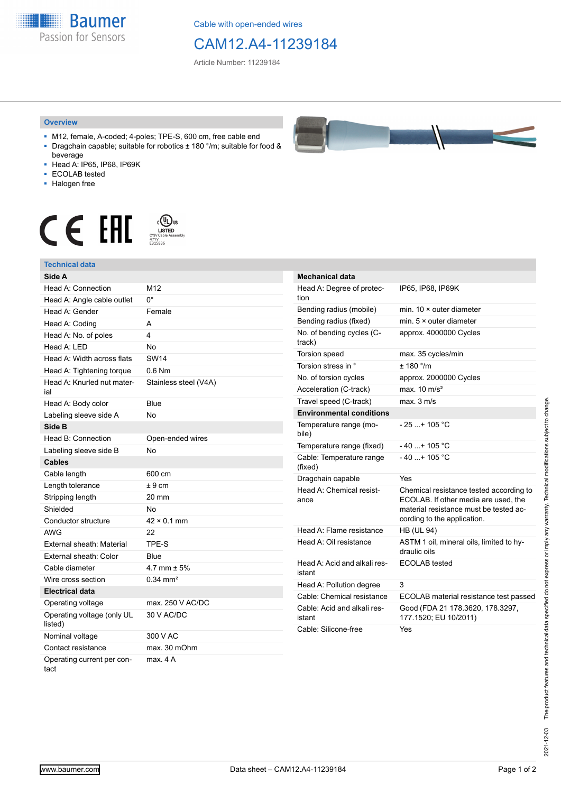**Baumer** Passion for Sensors

Cable with open-ended wires

## CAM12.A4-11239184

Article Number: 11239184

## **Overview**

- M12, female, A-coded; 4-poles; TPE-S, 600 cm, free cable end ■ Dragchain capable; suitable for robotics ± 180 °/m; suitable for food &
- beverage ■ Head A: IP65, IP68, IP69K
- ECOLAB tested
- Halogen free
- 

## $\begin{array}{ccc} \textbf{C} & \textbf{F} & \overset{\text{\tiny{c}}\textbf{(I)}\text{US}}{\textcolor{blue}{\textbf{N}}\text{USL}}\\ \textbf{F} & \overset{\text{\tiny{c}}\textbf{(I)}\text{USL}}{\textcolor{blue}{\textbf{N}}\text{USL}}\\ \textbf{F} & \overset{\text{\tiny{c}}\textbf{(I)}\text{USL}}{\textcolor{blue}{\textbf{N}}\text{USL}}\\ \end{array}$



| Side A                                |                       |
|---------------------------------------|-----------------------|
| <b>Head A: Connection</b>             | M <sub>12</sub>       |
| Head A: Angle cable outlet            | U.                    |
| Head A: Gender                        | Female                |
| Head A: Coding                        | А                     |
| Head A: No. of poles                  | 4                     |
| Head A: LED                           | <b>No</b>             |
| Head A: Width across flats            | <b>SW14</b>           |
| Head A: Tightening torque             | $0.6$ Nm              |
| Head A: Knurled nut mater-<br>ial     | Stainless steel (V4A) |
| Head A: Body color                    | Blue                  |
| Labeling sleeve side A                | No                    |
| Side B                                |                       |
| Head B: Connection                    | Open-ended wires      |
| Labeling sleeve side B                | No                    |
| <b>Cables</b>                         |                       |
| Cable length                          | 600 cm                |
| Length tolerance                      | ± 9 cm                |
| Stripping length                      | 20 mm                 |
| Shielded                              | No                    |
| Conductor structure                   | $42 \times 0.1$ mm    |
| <b>AWG</b>                            | 22                    |
| External sheath: Material             | TPE-S                 |
| External sheath: Color                | Blue                  |
| Cable diameter                        | 4.7 mm $\pm$ 5%       |
| Wire cross section                    | $0.34 \, \text{mm}^2$ |
| <b>Electrical data</b>                |                       |
| Operating voltage                     | max. 250 V AC/DC      |
| Operating voltage (only UL<br>listed) | 30 V AC/DC            |
| Nominal voltage                       | 300 V AC              |
| Contact resistance                    | max. 30 mOhm          |
| Operating current per con-<br>tact    | max. 4A               |



| <b>Mechanical data</b>                 |                                                                                                                                                          |
|----------------------------------------|----------------------------------------------------------------------------------------------------------------------------------------------------------|
| Head A: Degree of protec-<br>tion      | IP65, IP68, IP69K                                                                                                                                        |
| Bending radius (mobile)                | min. $10 \times$ outer diameter                                                                                                                          |
| Bending radius (fixed)                 | min. $5 \times$ outer diameter                                                                                                                           |
| No. of bending cycles (C-<br>track)    | approx. 4000000 Cycles                                                                                                                                   |
| <b>Torsion speed</b>                   | max. 35 cycles/min                                                                                                                                       |
| Torsion stress in °                    | ± 180 °/m                                                                                                                                                |
| No. of torsion cycles                  | approx. 2000000 Cycles                                                                                                                                   |
| Acceleration (C-track)                 | max $10 \text{ m/s}^2$                                                                                                                                   |
| Travel speed (C-track)                 | max. 3 m/s                                                                                                                                               |
| <b>Environmental conditions</b>        |                                                                                                                                                          |
| Temperature range (mo-<br>bile)        | - 25 + 105 °C                                                                                                                                            |
| Temperature range (fixed)              | $-40$ + 105 °C                                                                                                                                           |
| Cable: Temperature range<br>(fixed)    | - 40 + 105 °C                                                                                                                                            |
| Dragchain capable                      | Yes                                                                                                                                                      |
| Head A: Chemical resist-<br>ance       | Chemical resistance tested according to<br>ECOLAB. If other media are used, the<br>material resistance must be tested ac-<br>cording to the application. |
| Head A: Flame resistance               | <b>HB (UL 94)</b>                                                                                                                                        |
| Head A: Oil resistance                 | ASTM 1 oil, mineral oils, limited to hy-<br>draulic oils                                                                                                 |
| Head A: Acid and alkali res-<br>istant | ECOLAB tested                                                                                                                                            |
| Head A: Pollution degree               | 3                                                                                                                                                        |
| Cable: Chemical resistance             | ECOLAB material resistance test passed                                                                                                                   |
| Cable: Acid and alkali res-<br>istant  | Good (FDA 21 178.3620, 178.3297,<br>177.1520; EU 10/2011)                                                                                                |
| Cable: Silicone-free                   | Yes                                                                                                                                                      |